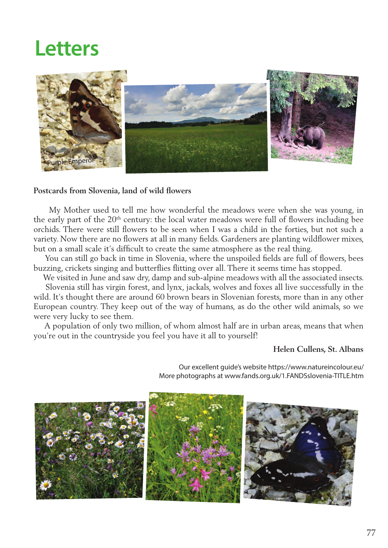# **Letters**



# **Postcards from Slovenia, land of wild flowers**

 My Mother used to tell me how wonderful the meadows were when she was young, in the early part of the 20<sup>th</sup> century: the local water meadows were full of flowers including bee orchids. There were still flowers to be seen when I was a child in the forties, but not such a variety. Now there are no flowers at all in many fields. Gardeners are planting wildflower mixes, but on a small scale it's difficult to create the same atmosphere as the real thing.

 You can still go back in time in Slovenia, where the unspoiled fields are full of flowers, bees buzzing, crickets singing and butterflies flitting over all. There it seems time has stopped.

 We visited in June and saw dry, damp and sub-alpine meadows with all the associated insects. Slovenia still has virgin forest, and lynx, jackals, wolves and foxes all live successfully in the wild. It's thought there are around 60 brown bears in Slovenian forests, more than in any other European country. They keep out of the way of humans, as do the other wild animals, so we were very lucky to see them.

 A population of only two million, of whom almost half are in urban areas, means that when you're out in the countryside you feel you have it all to yourself!

# **Helen Cullens, St. Albans**

Our excellent guide's website https://www.natureincolour.eu/ More photographs at www.fands.org.uk/1.FANDSslovenia-TITLE.htm